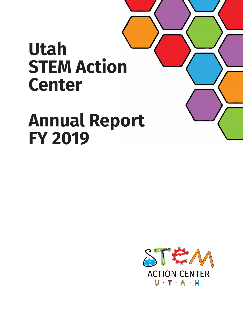# **Utah STEM Action Center**

# **Annual Report FY 2019**

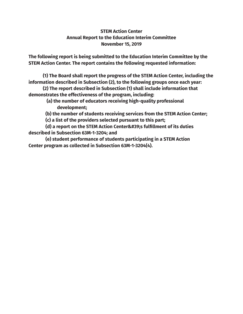## **STEM Action Center Annual Report to the Education Interim Committee November 15, 2019**

**The following report is being submitted to the Education Interim Committee by the STEM Action Center. The report contains the following requested information:**

 **(1) The Board shall report the progress of the STEM Action Center, including the information described in Subsection (2), to the following groups once each year:**

**(2) The report described in Subsection (1) shall include information that demonstrates the effectiveness of the program, including:**

> **(a) the number of educators receiving high-quality professional development;**

 **(b) the number of students receiving services from the STEM Action Center;**

 **(c) a list of the providers selected pursuant to this part;**

 **(d) a report on the STEM Action Center's fulfillment of its duties described in Subsection 63M-1-3204; and**

 **(e) student performance of students participating in a STEM Action Center program as collected in Subsection 63M-1-3204(4).**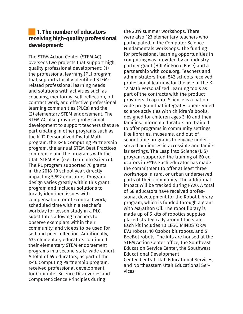# **1. The number of educators receiving high-quality professional development:**

The STEM Action Center (STEM AC) oversees two projects that support high quality professional development: (1) the professional learning (PL) program that supports locally identified STEMrelated professional learning needs and solutions with activities such as coaching, mentoring, self-reflection, offcontract work, and effective professional learning communities (PLCs) and the (2) elementary STEM endorsement. The STEM AC also provides professional development to support teachers that are participating in other programs such as the K-12 Personalized Digital Math program, the K-16 Computing Partnership program, the annual STEM Best Practices conference and the programs with the Utah STEM Bus (e.g., Leap into Science). The PL program supported 76 grants in the 2018-19 school year, directly impacting 5,592 educators. Program design varies greatly within this grant program and includes solutions to locally identified issues with compensation for off-contract work, scheduled time within a teacher's workday for lesson study in a PLC, substitutes allowing teachers to observe exemplars within their community, and videos to be used for self and peer reflection. Additionally, 435 elementary educators continued their elementary STEM endorsement programs in a second state-wide cohort. A total of 69 educators, as part of the K-16 Computing Partnership program, received professional development for Computer Science Discoveries and Computer Science Principles during

the 2019 summer workshops. There were also 123 elementary teachers who participated in the Computer Science Fundamentals workshops. The funding for professional learning opportunities in computing was provided by an industry partner grant (Hill Air Force Base) and a partnership with code.org. Teachers and administrators from 542 schools received professional learning for the use of the K-12 Math Personalized Learning tools as part of the contracts with the product providers. Leap into Science is a nationwide program that integrates open-ended science activities with children's books, designed for children ages 3-10 and their families. Informal educators are trained to offer programs in community settings like libraries, museums, and out-ofschool time programs to engage underserved audiences in accessible and familiar settings. The Leap into Science (LIS) program supported the training of 60 educators in FY19. Each educator has made the commitment to offer at least three workshops in rural or urban underserved parts of their community. The additional impact will be tracked during FY20. A total of 68 educators have received professional development for the Robot Library program, which is funded through a grant with Marathon Oil. The robot library is made up of 5 kits of robotics supplies placed strategically around the state. Each kit includes 10 LEGO MINDSTORM EV3 robots, 10 Ozobot bit robots, and 5 BeeBot robots. The kits are housed at the STEM Action Center office, the Southeast Education Service Center, the Southwest Educational Development Center, Central Utah Educational Services, and Northeastern Utah Educational Services.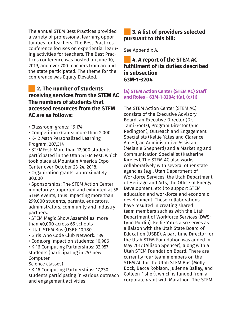The annual STEM Best Practices provided a variety of professional learning opportunities for teachers. The Best Practices conference focuses on experiential learning activities for teachers. The Best Practices conference was hosted on June 10, 2019, and over 700 teachers from around the state participated. The theme for the conference was Equity Elevated.

# **2. The number of students receiving services from the STEM AC The numbers of students that accessed resources from the STEM AC are as follows:**

- Classroom grants: 19,174
- Competition Grants: more than 2,000
- K-12 Math Personalized Learning Program: 207,314

• STEMFest: More than 12,000 students participated in the Utah STEM Fest, which took place at Mountain America Expo Center over October 23-24, 2018.

• Organization grants: approximately 80,000

• Sponsorships: The STEM Action Center monetarily supported and exhibited at 58 STEM events, thus impacting more than 299,000 students, parents, educators, administrators, community and industry partners.

• STEM Magic Show Assemblies: more than 40,000 across 65 schools

- Utah STEM Bus (USB): 10,780
- Girls Who Code Club Network: 139
- Code.org impact on students: 10,986
- K-16 Computing Partnerships: 32,957 students (participating in 257 new Computer

Science classes)

• K-16 Computing Partnerships: 17,230 students participating in various outreach and engagement activities

# **3. A list of providers selected pursuant to this bill:**

See Appendix A.

# **4. A report of the STEM AC fulfillment of its duties described in subsection 63M-1-3204**

## **(a) STEM Action Center (STEM AC) Staff and Roles - 63M-1-3204; 1(a), (c) (i)**

The STEM Action Center (STEM AC) consists of the Executive Advisory Board, an Executive Director (Dr. Tami Goetz), Program Director (Sue Redington), Outreach and Engagement Specialists (Kellie Yates and Clarence Ames), an Administrative Assistant (Melanie Shepherd) and a Marketing and Communication Specialist (Katherine Kireiev). The STEM AC also works collaboratively with several other state agencies (e.g., Utah Department of Workforce Services, the Utah Department of Heritage and Arts, the Office of Energy Development, etc.) to support STEM education and workforce and economic development. These collaborations have resulted in creating shared team members such as with the Utah Department of Workforce Services (DWS; Lynn Purdin). Kellie Yates also serves as a liaison with the Utah State Board of Education (USBE). A part-time Director for the Utah STEM Foundation was added in May 2017 (Allison Spencer), along with a Utah STEM Foundation Board. There are currently four team members on the STEM AC for the Utah STEM Bus (Molly Bock, Becca Robison, Julienne Bailey, and Colleen Fisher), which is funded from a corporate grant with Marathon. The STEM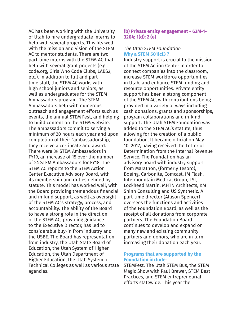AC has been working with the University of Utah to hire undergraduate interns to help with several projects. This fits well with the mission and vision of the STEM AC to mentor students. There are two part-time interns with the STEM AC that help with several grant projects (e.g., code.org, Girls Who Code Clubs, LABS2, etc.). In addition to full and parttime staff, the STEM AC works with high school juniors and seniors, as well as undergraduates for the STEM Ambassadors program. The STEM Ambassadors help with numerous outreach and engagement efforts such as events, the annual STEM Fest, and helping to build content on the STEM website. The ambassadors commit to serving a minimum of 20 hours each year and upon completion of their "ambassadorship," they receive a certificate and award. There were 39 STEM Ambassadors in FY19, an increase of 15 over the number of 24 STEM Ambassadors for FY18. The STEM AC reports to the STEM Action Center Executive Advisory Board, with its membership and duties defined by statute. This model has worked well, with the Board providing tremendous financial and in-kind support, as well as oversight of the STEM AC's strategy, process, and accountability. The ability of the Board to have a strong role in the direction of the STEM AC, providing guidance to the Executive Director, has led to considerable buy-in from industry and the USBE. The Board has representation from industry, the Utah State Board of Education, the Utah System of Higher Education, the Utah Department of Higher Education, the Utah System of Technical Colleges as well as various state agencies.

## **(b) Private entity engagement - 63M-1- 3204; 1(d); 2 (e)**

#### *The Utah STEM Foundation* **Why a STEM 501(c)3 ?**

Industry support is crucial to the mission of the STEM Action Center in order to connect companies into the classroom, increase STEM workforce opportunities in Utah, and enhance STEM funding and resource opportunities. Private entity support has been a strong component of the STEM AC, with contributions being provided in a variety of ways including cash donations, grants and sponsorships, program collaborations and in-kind support. The Utah STEM Foundation was added to the STEM AC's statute, thus allowing for the creation of a public foundation. It became official on May 10, 2017, having received the Letter of Determination from the Internal Revenue Service. The Foundation has an advisory board with industry support from Marathon, (formerly Tesoro), Boeing, Carbonite, Comcast, IM Flash, Intermountain Medical Group, LSI, Lockheed Martin, MHTN Architects, KM Shinn Consulting and US Synthetic. A part-time director (Allison Spencer) oversees the functions and activities of the Foundation Board, as well as the receipt of all donations from corporate partners. The Foundation Board continues to develop and expand on many new and existing community partners and donors, who are in turn increasing their donation each year.

#### **Programs that are supported by the Foundation include:**

STEMFest, The Utah STEM Bus, the STEM Magic Show with Paul Brewer, STEM Best Practices, and STEM entrepreneurial efforts statewide. This year the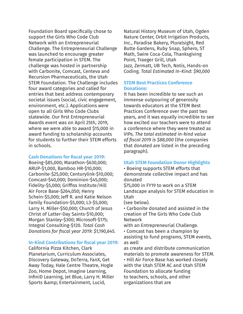Foundation Board specifically chose to support the Girls Who Code Club Network with an Entrepreneurial Challenge. The Entrepreneurial Challenge was launched to encourage greater female participation in STEM. The challenge was hosted in partnership with Carbonite, Comcast, Centeva and Recursion Pharmaceuticals, the Utah STEM Foundation. The Challenge includes four award categories and called for entries that best address contemporary societal issues (social, civic engagement, environment, etc.). Applications were open to all Girls Who Code Clubs statewide. Our first Entrepreneurial Awards event was on April 25th, 2019, where we were able to award \$15,000 in award funding to scholarship accounts for students to further their STEM efforts in schools.

#### **Cash Donations for fiscal year 2019:**

Boeing-\$85,000; Marathon-\$630,000; ARUP-\$1,000, Bamboo HR-\$10,000; Carbonite-\$25,000; Centurylink-\$10,000; Comcast-\$40,000; Dominion-\$45,000; Fidelity-\$5,000; Griffiss Institute/Hill Air Force Base-\$264,050; Henry Schein-\$5,000; Jeff R. and Katie Nelson Family Foundation-\$5,000; L3-\$5,000; Larry H. Miller-\$50,000; Church of Jesus Christ of Latter-Day Saints-\$10,000; Morgan Stanley-\$300; Microsoft-\$175; Integral Consulting-\$120. *Total Cash Donations for fiscal year 2019: \$1,190,645.*

#### **In-Kind Contributions for fiscal year 2019:**

California Pizza Kitchen, Clark Planetarium, Curriculum Associates, Discovery Gateway, DoTerra, FanX, Get Away Today, Hale Centre Theatre, Hogle Zoo, Home Depot, Imagine Learning, InfiniD Learning, Jet Blue, Larry H. Miller Sports & amp; Entertainment, Lucid,

Natural History Museum of Utah, Ogden Nature Center, Orbit Irrigation Products, Inc., Paradise Bakery, Pluralsight, Red Butte Gardens, Ruby Snap, Sphero, ST Math, Swire Coca-Cola, Thanksgiving Point, Traeger Grill, Utah Jazz, Zermatt, UB Tech, Notis, Hands-on Coding. *Total Estimated In-Kind: \$90,000*

## **STEM Best Practices Conference Donations:**

It has been incredible to see such an immense outpouring of generosity towards educators at the STEM Best Practices Conference over the past two years, and it was equally incredible to see how excited our teachers were to attend a conference where they were treated as VIPs. *The total estimated in-kind value of fiscal 2019 is \$88,000* (the companies that donated are listed in the preceding paragraph).

#### **Utah STEM Foundation Donor Highlights**

• Boeing supports STEM efforts that demonstrate collective impact and has donated

\$75,000 in FY19 to work on a STEM Landscape analysis for STEM education in Utah

(see below).

• Carbonite donated and assisted in the creation of The Girls Who Code Club Network

with an Entrepreneurial Challenge.

• Comcast has been a champion by assisting to fund programs, STEM events, as well

as create and distribute communication materials to promote awareness for STEM. • Hill Air Force Base has worked closely with the Utah STEM AC and Utah STEM Foundation to allocate funding to teachers, schools, and other organizations that are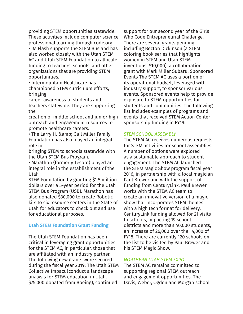providing STEM opportunities statewide. These activities include computer science professional learning through code.org. • IM Flash supports the STEM Bus and has also worked closely with the Utah STEM AC and Utah STEM Foundation to allocate funding to teachers, schools, and other organizations that are providing STEM opportunities.

• Intermountain Healthcare has championed STEM curriculum efforts, bringing

career awareness to students and teachers statewide. They are supporting the

creation of middle school and junior high outreach and engagement resources to promote healthcare careers.

• The Larry H. & amp; Gail Miller Family Foundation has also played an integral role in

bringing STEM to schools statewide with the Utah STEM Bus Program.

• Marathon (formerly Tesoro) played an integral role in the establishment of the Utah

STEM Foundation by granting \$1.5 million dollars over a 5-year period for the Utah STEM Bus Program (USB). Marathon has also donated \$30,000 to create Robotic kits to six resource centers in the State of Utah for educators to check out and use for educational purposes.

## **Utah STEM Foundation Grant Funding**

The Utah STEM Foundation has been critical in leveraging grant opportunities for the STEM AC, in particular, those that are affiliated with an industry partner. The following new grants were secured during the fiscal year 2019: The Utah STEM Collective Impact (conduct a landscape analysis for STEM education in Utah, \$75,000 donated from Boeing); continued

support for our second year of the Girls Who Code Entrepreneurial Challenge. There are several grants pending including Becton Dickinson (a STEM coloring book series that highlights women in STEM and Utah STEM inventions, \$10,000); a collaboration grant with Mark Miller Subaru. Sponsored Events The STEM AC uses a portion of its operational budget, leveraged with industry support, to sponsor various events. Sponsored events help to provide exposure to STEM opportunities for students and communities. The following list includes examples of programs and events that received STEM Action Center sponsorship funding in FY19:

#### *STEM SCHOOL ASSEMBLY*

The STEM AC receives numerous requests for STEM activities for school assemblies. A number of options were explored as a sustainable approach to student engagement. The STEM AC launched the STEM Magic Show program fiscal year 2016, in partnership with a local magician Paul Brewer and with the support of funding from CenturyLink. Paul Brewer works with the STEM AC team to create an innovative version of a magic show that incorporates STEM themes with a high tech format for delivery. CenturyLink funding allowed for 21 visits to schools, impacting 19 school districts and more than 40,000 students, an increase of 26,000 over the 14,000 of FY18. There are currently 120 schools on the list to be visited by Paul Brewer and his STEM Magic Show.

#### *NORTHERN UTAH STEM EXPO*

The STEM AC remains committed to supporting regional STEM outreach and engagement opportunities. The Davis, Weber, Ogden and Morgan school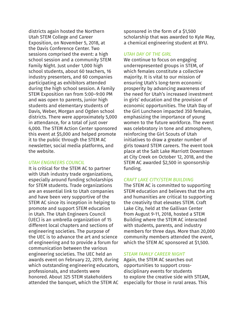districts again hosted the Northern Utah STEM College and Career Exposition, on November 5, 2018, at the Davis Conference Center. Two sessions comprised the event: a high school session and a community STEM Family Night. Just under 1,000 high school students, about 60 teachers, 16 industry presenters, and 60 companies participating as exhibitors attended during the high school session. A Family STEM Exposition ran from 5:00–9:00 PM and was open to parents, junior high students and elementary students of Davis, Weber, Morgan and Ogden school districts. There were approximately 5,000 in attendance, for a total of just over 6,000. The STEM Action Center sponsored this event at \$5,000 and helped promote it to the public through the STEM AC newsletter, social media platforms, and the website.

#### *UTAH ENGINEERS COUNCIL*

It is critical for the STEM AC to partner with Utah industry trade organizations, especially around funding scholarships for STEM students. Trade organizations are an essential link to Utah companies and have been very supportive of the STEM AC since its inception in helping to promote and support STEM education in Utah. The Utah Engineers Council (UEC) is an umbrella organization of 15 different local chapters and sections of engineering societies. The purpose of the UEC is to advance the art and science of engineering and to provide a forum for communication between the various engineering societies. The UEC held an awards event on February 22, 2019, during which outstanding engineering educators, professionals, and students were honored. About 325 STEM stakeholders attended the banquet, which the STEM AC

sponsored in the form of a \$1,500 scholarship that was awarded to Kyle May, a chemical engineering student at BYU.

## *UTAH DAY OF THE GIRL*

We continue to focus on engaging underrepresented groups in STEM, of which females constitute a collective majority. It is vital to our mission of ensuring Utah's long-term economic prosperity by advancing awareness of the need for Utah's increased investment in girls' education and the provision of economic opportunities. The Utah Day of the Girl Luncheon impacted 350 females, emphasizing the importance of young women to the future workforce. The event was celebratory in tone and atmosphere, reinforcing the Girl Scouts of Utah initiatives to draw a greater number of girls toward STEM careers. The event took place at the Salt Lake Marriott Downtown at City Creek on October 12, 2018, and the STEM AC awarded \$2,500 in sponsorship funding.

## *CRAFT LAKE CITY/STEM BUILDING*

The STEM AC is committed to supporting STEM education and believes that the arts and humanities are critical to supporting the creativity that elevates STEM. Craft Lake City, held at the Gallivan Center from August 9-11, 2018, hosted a STEM Building where the STEM AC interacted with students, parents, and industry members for three days. More than 20,000 community members attended the event, which the STEM AC sponsored at \$1,500.

## *STEAM FAMILY CAREER NIGHT*

Again, the STEM AC searches out opportunities to support crossdisciplinary events for students to explore the creative side with STEAM, especially for those in rural areas. This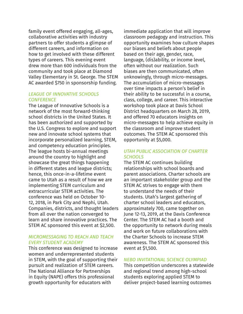family event offered engaging, all-ages, collaborative activities with industry partners to offer students a glimpse of different careers, and information on how to get involved with these different types of careers. This evening event drew more than 600 individuals from the community and took place at Diamond Valley Elementary in St. George. The STEM AC awarded \$750 in sponsorship funding.

## *LEAGUE OF INNOVATIVE SCHOOLS CONFERENCE*

The League of Innovative Schools is a network of the most forward-thinking school districts in the United States. It has been authorized and supported by the U.S. Congress to explore and support new and innovate school systems that incorporate personalized learning, STEM, and competency education principles. The league hosts bi-annual meetings around the country to highlight and showcase the great things happening in different states and league districts; hence, this once-in-a-lifetime event came to Utah as a result of how we are implementing STEM curriculum and extracurricular STEM activities. The conference was held on October 10- 12, 2018, in Park City and Nephi, Utah. Companies, districts, and thought leaders from all over the nation converged to learn and share innovative practices. The STEM AC sponsored this event at \$2,500.

## *MICROMESSAGING TO REACH AND TEACH EVERY STUDENT ACADEMY*

This conference was designed to increase women and underrepresented students in STEM, with the goal of supporting their pursuit and realization of STEM careers. The National Alliance for Partnerships in Equity (NAPE) offers this professional growth opportunity for educators with

immediate application that will improve classroom pedagogy and instruction. This opportunity examines how culture shapes our biases and beliefs about people based on their age, gender, race, language, (dis)ability, or income level, often without our realization. Such biases are then communicated, often unknowingly, through micro-messages. The accumulation of micro-messages over time impacts a person's belief in their ability to be successful in a course, class, college, and career. This interactive workshop took place at Davis School District headquarters on March 28, 2019, and offered 70 educators insights on micro-messages to help achieve equity in the classroom and improve student outcomes. The STEM AC sponsored this opportunity at \$5,000.

## *UTAH PUBLIC ASSOCIATION OF CHARTER SCHOOLS*

The STEM AC continues building relationships with school boards and parent associations. Charter schools are an important stakeholder group and the STEM AC strives to engage with them to understand the needs of their students. Utah's largest gathering of charter school leaders and educators, approximately 700, came together on June 12-13, 2019, at the Davis Conference Center. The STEM AC had a booth and the opportunity to network during meals and work on future collaborations with the Charter Schools to increase STEM awareness. The STEM AC sponsored this event at \$1,500.

## *NEBO INVITATIONAL SCIENCE OLYMPIAD*

This competition underscores a statewide and regional trend among high-school students exploring applied STEM to deliver project-based learning outcomes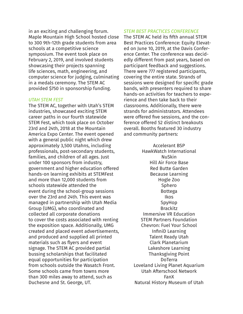in an exciting and challenging forum. Maple Mountain High School hosted close to 300 9th-12th grade students from area schools at a competitive science symposium. The event took place on February 2, 2019, and involved students showcasing their projects spanning life sciences, math, engineering, and computer science for judging, culminating in a medals ceremony. The STEM AC provided \$750 in sponsorship funding.

#### *UTAH STEM FEST*

The STEM AC, together with Utah's STEM industries, showcased exciting STEM career paths in our fourth statewide STEM Fest, which took place on October 23rd and 24th, 2018 at the Mountain America Expo Center. The event opened with a general public night which drew approximately 3,500 Utahns, including professionals, post-secondary students, families, and children of all ages. Just under 100 sponsors from industry, government and higher education offered hands-on learning exhibits at STEMFest and more than 12,000 students from schools statewide attended the event during the school-group sessions over the 23rd and 24th. This event was managed in partnership with Utah Media Group (UMG), who coordinated and collected all corporate donations to cover the costs associated with renting the exposition space. Additionally, UMG created and placed event advertisements, and produced and supplied all printed materials such as flyers and event signage. The STEM AC provided partial bussing scholarships that facilitated equal opportunities for participation from schools outside the Wasatch Front. Some schools came from towns more than 300 miles away to attend, such as Duchesne and St. George, UT.

*STEM BEST PRACTICES CONFERENCE*

The STEM AC held its fifth annual STEM Best Practices Conference: Equity Elevated on June 10, 2019, at the Davis Conference Center. The conference was decidedly different from past years, based on participant feedback and suggestions. There were 777 registered participants, covering the entire state. Strands of sessions were designed for specific grade bands, with presenters required to share hands-on activities for teachers to experience and then take back to their classrooms. Additionally, there were strands for administrators. Attendees were offered five sessions, and the conference offered 52 distinct breakouts overall. Booths featured 30 industry and community partners:

> Accelerant BSP HawkWatch International NuSkin Hill Air Force Base Red Butte Garden Because Learning Hogle Zoo Sphero Bottega Ikos SpyHop Brackitz Immersive VR Education STEM Partners Foundation Chevron: Fuel Your School InfiniD Learning Talent Ready Utah Clark Planetarium Lakeshore Learning Thanksgiving Point DoTerra Loveland Living Planet Aquarium Utah Afterschool Network FanX Natural History Museum of Utah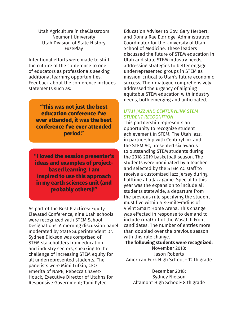Utah Agriculture in theClassroom Neumont University Utah Division of State History **FuzePlay** 

Intentional efforts were made to shift the culture of the conference to one of educators as professionals seeking additional learning opportunities. Feedback about the conference includes statements such as:

**"This was not just the best education conference I've ever attended, it was the best conference I've ever attended period."**

**"I loved the session presenter's ideas and examples of projectbased learning. I am inspired to use this approach in my earth sciences unit (and probably others)!"**

As part of the Best Practices: Equity Elevated Conference, nine Utah schools were recognized with STEM School Designations. A morning discussion panel moderated by State Superintendent Dr. Sydnee Dickson was comprised of STEM stakeholders from education and industry sectors, speaking to the challenge of increasing STEM equity for all underrepresented students. The panelists were Mimi Lufkin, CEO Emerita of NAPE; Rebecca Chavez-Houck, Executive Director of Utahns for Responsive Government; Tami Pyfer,

Education Adviser to Gov. Gary Herbert; and Donna Rae Eldridge, Administrative Coordinator for the University of Utah School of Medicine. These leaders discussed the future of STEM education in Utah and state STEM industry needs, addressing strategies to better engage underrepresented groups in STEM as mission-critical to Utah's future economic success. Their dialogue comprehensively addressed the urgency of aligning equitable STEM education with industry needs, both emerging and anticipated.

## *UTAH JAZZ AND CENTURYLINK STEM STUDENT RECOGNITION*

This partnership represents an opportunity to recognize student achievement in STEM. The Utah Jazz, in partnership with CenturyLink and the STEM AC, presented six awards to outstanding STEM students during the 2018-2019 basketball season. The students were nominated by a teacher and selected by the STEM AC staff to receive a customized Jazz jersey during halftime at a Jazz game. Special to this year was the expansion to include all students statewide, a departure from the previous rule specifying the student must live within a 75-mile-radius of Vivint Smart Home Arena. This change was effected in response to demand to include rural/off of the Wasatch Front candidates. The number of entries more than doubled over the previous season with this rule change.

#### **The following students were recognized:**

November 2018: Jason Roberts American Fork High School - 12 th grade

December 2018: Sydney Nielson Altamont High School- 8 th grade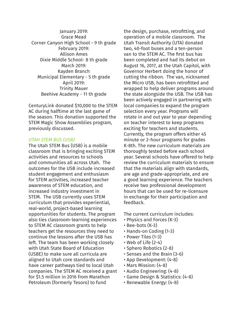January 2019: Grace Mead Corner Canyon High School - 9 th grade February 2019: Allison Ames Dixie Middle School- 8 th grade March 2019: Kayden Branch Municipal Elementary - 5 th grade April 2019: Trinity Mauer Beehive Academy - 11 th grade

CenturyLink donated \$10,000 to the STEM AC during halftime at the last game of the season. This donation supported the STEM Magic Show Assemblies program, previously discussed.

#### *UTAH STEM BUS (USB)*

The Utah STEM Bus (USB) is a mobile classroom that is bringing exciting STEM activities and resources to schools and communities all across Utah. The outcomes for the USB include increased student engagement and enthusiasm for STEM activities, increased teacher awareness of STEM education, and increased industry investment in STEM. The USB currently uses STEM curriculum that provides experiential, real-world, project-based learning opportunities for students. The program also ties classroom-learning experiences to STEM AC classroom grants to help teachers get the resources they need to continue the lessons after the USB has left. The team has been working closely with Utah State Board of Education (USBE) to make sure all curricula are aligned to Utah core standards and have career pathways tied to local Utah companies. The STEM AC received a grant for \$1.5 million in 2016 from Marathon Petroleum (formerly Tesoro) to fund

the design, purchase, retrofitting, and operation of a mobile classroom. The Utah Transit Authority (UTA) donated two, 40-foot buses and a ten-person van to the STEM AC. The first bus has been completed and had its debut on August 16, 2017, at the Utah Capitol, with Governor Herbert doing the honor of cutting the ribbon. The van, nicknamed the Micro USB, has been retrofitted and wrapped to help deliver programs around the state alongside the USB. The USB has been actively engaged in partnering with local companies to expand the program selection every year. Programs will rotate in and out year to year depending on teacher interest to keep programs exciting for teachers and students. Currently, the program offers either 45 minute or 2-hour programs for grades K-8th. The new curriculum materials are thoroughly tested before each school year. Several schools have offered to help review the curriculum materials to ensure that the materials align with standards, are age and grade-appropriate, and are a good learning experience. The teachers receive two professional development hours that can be used for re-licensure in exchange for their participation and feedback.

The current curriculum includes:

- Physics and Forces (K-3)
- Bee-bots (K-3)
- Hands-on Coding (1-3)
- Power Tiles (1-3)
- Web of Life (2-4)
- Sphero Robotics (2-8)
- Senses and the Brain (3-6)
- App Development: (4-8)
- Mars Mission: (4-8)
- Audio Engineering: (4-8)
- Game Design & Statistics: (4-8)
- Renewable Energy: (4-8)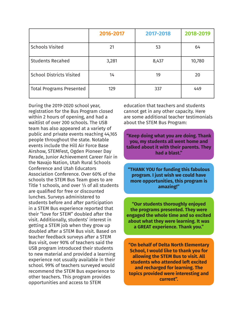|                                 | 2016-2017 | 2017-2018 | 2018-2019 |
|---------------------------------|-----------|-----------|-----------|
| <b>Schools Visited</b>          | 21        | 53        | 64        |
| <b>Students Recahed</b>         | 3,281     | 8,437     | 10,780    |
| <b>School Districts Visited</b> | 14        | 19        | 20        |
| <b>Total Programs Presented</b> | 129       | 337       | 449       |

During the 2019-2020 school year, registration for the Bus Program closed within 2 hours of opening, and had a waitlist of over 200 schools. The USB team has also appeared at a variety of public and private events reaching 44,165 people throughout the state. Notable events include the Hill Air Force Base Airshow, STEMFest, Ogden Pioneer Day Parade, Junior Achievement Career Fair in the Navajo Nation, Utah Rural Schools Conference and Utah Educators Association Conference. Over 60% of the schools the STEM Bus Team goes to are Title 1 schools, and over ⅓ of all students are qualified for free or discounted lunches. Surveys administered to students before and after participation in a STEM Bus experience reported that their "love for STEM" doubled after the visit. Additionally, students' interest in getting a STEM job when they grow up doubled after a STEM Bus visit. Based on teacher feedback surveys after a STEM Bus visit, over 90% of teachers said the USB program introduced their students to new material and provided a learning experience not usually available in their school. 99% of teachers surveyed would recommend the STEM Bus experience to other teachers. This program provides opportunities and access to STEM

education that teachers and students cannot get in any other capacity. Here are some additional teacher testimonials about the STEM Bus Program:

**"Keep doing what you are doing. Thank you, my students all went home and talked about it with their parents. They had a blast."**

**"THANK YOU for funding this fabulous program. I just wish we could have more opportunities, this program is amazing!"**

**"Our students thoroughly enjoyed the programs presented. They were engaged the whole time and so excited about what they were learning. It was a GREAT experience. Thank you."**

**"On behalf of Delta North Elementary School, I would like to thank you for allowing the STEM Bus to visit. All students who attended left excited and recharged for learning. The topics provided were interesting and current".**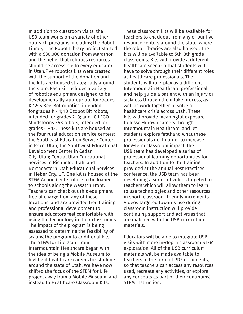In addition to classroom visits, the USB team works on a variety of other outreach programs, including the Robot Library. The Robot Library project started with a \$30,000 donation from Marathon and the belief that robotics resources should be accessible to every educator in Utah.Five robotics kits were created with the support of the donation and the kits are housed strategically around the state. Each kit includes a variety of robotics equipment designed to be developmentally appropriate for grades K-12: 5 Bee-Bot robotics, intended for grades K - 1; 10 Ozobot Bit robots, intended for grades 2 -3; and 10 LEGO Mindstorms EV3 robots, intended for grades 4 - 12. These kits are housed at the four rural education service centers: the Southeast Education Service Center in Price, Utah; the Southwest Educational Development Center in Cedar City, Utah; Central Utah Educational Services in Richfield, Utah; and Northeastern Utah Educational Services in Heber City, UT. One kit is housed at the STEM Action Center office to be loaned to schools along the Wasatch Front. Teachers can check out this equipment free of charge from any of these locations, and are provided free training and professional development to ensure educators feel comfortable with using the technology in their classrooms. The impact of the program is being assessed to determine the feasibility of scaling the program to additional kits. The STEM for Life grant from Intermountain Healthcare began with the idea of being a Mobile Museum to highlight healthcare careers for students around the state of Utah. We have now shifted the focus of the STEM for Life project away from a Mobile Museum, and instead to Healthcare Classroom Kits.

These classroom kits will be available for teachers to check out from any of our five resource centers around the state, where the robot libraries are also housed. The kits will be available to 5th-8th grade classrooms. Kits will provide a different healthcare scenario that students will have to solve through their different roles as healthcare professionals. The students will role-play as a different Intermountain Healthcare professional and help guide a patient with an injury or sickness through the intake process, as well as work together to solve a healthcare crisis across Utah. These kits will provide meaningful exposure to lesser-known careers through Intermountain Healthcare, and let students explore firsthand what these professionals do. In order to increase long-term classroom impact, the USB team has developed a series of professional learning opportunities for teachers. In addition to the training provided at the annual Best Practices conference, the USB team has been developing a series of videos targeted to teachers which will allow them to learn to use technologies and other resources, in short, classroom-friendly increments. Videos targeted towards use during classroom instruction will provide continuing support and activities that are matched with the USB curriculum materials.

Educators will be able to integrate USB visits with more in-depth classroom STEM exploration. All of the USB curriculum materials will be made available to teachers in the form of PDF documents, so that teachers can access any resources used, recreate any activities, or explore any concepts as part of their continuing STEM instruction.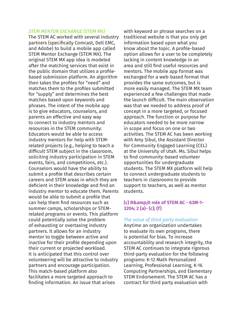#### *STEM MENTOR EXCHANGE (STEM MX)*

The STEM AC worked with several industry partners (specifically Comcast, Dell EMC, and Adobe) to build a mobile app called STEM Mentor Exchange (STEM MX). The original STEM MX app idea is modeled after the matching services that exist in the public domain that utilizes a profilebased submission platform. An algorithm then takes the profiles for "need" and matches them to the profiles submitted for "supply" and determines the best matches based upon keywords and phrases. The intent of the mobile app is to give educators, counselors, and parents an effective and easy way to connect to industry mentors and resources in the STEM community. Educators would be able to access industry mentors for help with STEMrelated projects (e.g., helping to teach a difficult STEM subject in the classroom, soliciting industry participation in STEM events, fairs, and competitions, etc.). Counselors would have the ability to submit a profile that describes certain careers and STEM areas in which they are deficient in their knowledge and find an industry mentor to educate them. Parents would be able to submit a profile that can help them find resources such as summer camps, scholarships or STEMrelated programs or events. This platform could potentially solve the problem of exhausting or overtaxing industry partners. It allows for an industry mentor to toggle between active and inactive for their profile depending upon their current or projected workload. It is anticipated that this control over volunteering will be attractive to industry partners and encourage participation. This match-based platform also facilitates a more targeted approach to finding information. An issue that arises

with keyword or phrase searches on a traditional website is that you only get information based upon what you know about the topic. A profile-based option allows for a user to be completely lacking in content knowledge in an area and still find useful resources and mentors. The mobile app format was exchanged for a web-based format that provides the same outcomes, but is more easily managed. The STEM MX team experienced a few challenges that made the launch difficult. The main observation was that we needed to address proof of concept in a more targeted, or focused approach. The function or purpose for educators needed to be more narrow in scope and focus on one or two activities. The STEM AC has been working with Amy Sibul, the Assistant Director for Community Engaged Learning (CEL) at the University of Utah. Ms. Sibul helps to find community-based volunteer opportunities for undergraduate students. The STEM MX platform will help to connect undergraduate students to teachers in classrooms to provide support to teachers, as well as mentor students.

## **(c) R&D role of STEM AC - 63M-1- 3204; 2 (a)- (c); (f)**

## *The value of third party evaluation*

Anytime an organization undertakes to evaluate its own programs, there is potential for bias. To increase accountability and research integrity, the STEM AC continues to integrate rigorous third-party evaluation for the following programs: K-12 Math Personalized Learning, Professional Learning, K-16 Computing Partnerships, and Elementary STEM Endorsement. The STEM AC has a contract for third party evaluation with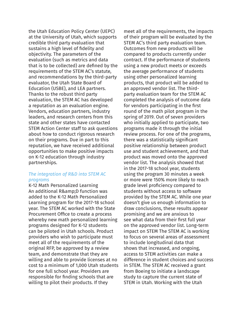the Utah Education Policy Center (UEPC) at the University of Utah, which supports credible third party evaluation that sustains a high level of fidelity and objectivity. The parameters of the evaluation (such as metrics and data that is to be collected) are defined by the requirements of the STEM AC's statute, and recommendations by the third-party evaluator, the Utah State Board of Education (USBE), and LEA partners. Thanks to the robust third party evaluation, the STEM AC has developed a reputation as an evaluation engine. Vendors, education partners, industry leaders, and research centers from this state and other states have contacted STEM Action Center staff to ask questions about how to conduct rigorous research on their programs. Due in part to this reputation, we have received additional opportunities to make positive impacts on K-12 education through industry partnerships.

#### *The integration of R&D into STEM AC programs*

K-12 Math Personalized Learning An additional R& D function was added to the K-12 Math Personalized Learning program for the 2017-18 school year. The STEM AC worked with the State Procurement Office to create a process whereby new math personalized learning programs designed for K-12 students can be piloted in Utah schools. Product providers who wish to participate must meet all of the requirements of the original RFP, be approved by a review team, and demonstrate that they are willing and able to provide licenses at no cost to a minimum of 1,000 Utah students for one full school year. Providers are responsible for finding schools that are willing to pilot their products. If they

meet all of the requirements, the impacts of their program will be evaluated by the STEM AC's third party evaluation team. Outcomes from new products will be compared to products currently under contract. If the performance of students using a new product meets or exceeds the average performance of students using other personalized learning products, that product will be added to an approved vendor list. The thirdparty evaluation team for the STEM AC completed the analysis of outcome data for vendors participating in the first round of the math pilot program in the spring of 2019. Out of seven providers who initially applied to participate, two programs made it through the initial review process. For one of the programs, there was a statistically significant positive relationship between product use and student achievement, and that product was moved onto the approved vendor list. The analysis showed that in the 2017-18 school year, students using the program 30 minutes a week or more were 150% more likely to reach grade level proficiency compared to students without access to software provided by the STEM AC. While one year doesn't give us enough information to draw conclusions, these results appear promising and we are anxious to see what data from their first full year on the approved vendor list. Long-term impact on STEM The STEM AC is working to focus on several areas of assessment to include longitudinal data that shows that increased, and ongoing, access to STEM activities can make a difference in student choices and success in STEM. The STEM AC received a grant from Boeing to initiate a landscape study to capture the current state of STEM in Utah. Working with the Utah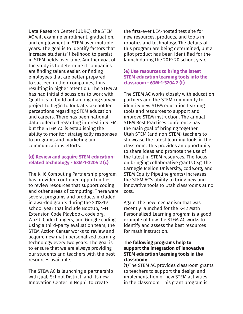Data Research Center (UDRC), the STEM AC will examine enrollment, graduation, and employment in STEM over multiple years. The goal is to identify factors that increase students' likelihood to persist in STEM fields over time. Another goal of the study is to determine if companies are finding talent easier, or finding employees that are better prepared to succeed in their companies, thus resulting in higher retention. The STEM AC has had initial discussions to work with Qualtrics to build out an ongoing survey project to begin to look at stakeholder perceptions regarding STEM education and careers. There has been national data collected regarding interest in STEM, but the STEM AC is establishing the ability to monitor strategically responses to programs and marketing and communications efforts.

## **(d) Review and acquire STEM educationrelated technology - 63M-1-3204 2 (c)**

The K-16 Computing Partnership program has provided continued opportunities to review resources that support coding and other areas of computing. There were several programs and products included in awarded grants during the 2018-19 school year that include BootUp, 4-H Extension Code Playbook, code.org, WozU, Codechangers, and Google coding. Using a third-party evaluation team, the STEM Action Center works to review and acquire new math personalized learning technology every two years. The goal is to ensure that we are always providing our students and teachers with the best resources available.

The STEM AC is launching a partnership with Juab School District, and its new Innovation Center in Nephi, to create

the first-ever LEA-hosted test site for new resources, products, and tools in robotics and technology. The details of this program are being determined, but a pilot product has been identified for the launch during the 2019-20 school year.

## (**e) Use resources to bring the latest STEM education learning tools into the classroom - 63M-1-3204 2 (f)**

The STEM AC works closely with education partners and the STEM community to identify new STEM education learning tools and resources to support and improve STEM instruction. The annual STEM Best Practices conference has the main goal of bringing together Utah STEM (and non-STEM) teachers to showcase the latest learning tools in the classroom. This provides an opportunity to share ideas and promote the use of the latest in STEM resources. The focus on bringing collaborative grants (e.g. the Carnegie Mellon University, code.org, and STEM Equity Pipeline grants) increases the STEM AC's ability to bring new and innovative tools to Utah classrooms at no cost.

Again, the new mechanism that was recently launched for the K-12 Math Personalized Learning program is a good example of how the STEM AC works to identify and assess the best resources for math instruction.

## **The following programs help to support the integration of innovative STEM education learning tools in the classroom:**

(1)The STEM AC provides classroom grants to teachers to support the design and implementation of new STEM activities in the classroom. This grant program is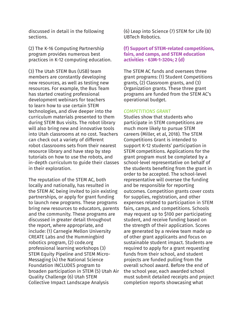discussed in detail in the following sections.

(2) The K-16 Computing Partnership program provides numerous best practices in K-12 computing education.

(3) The Utah STEM Bus (USB) team members are constantly developing new resources, as well as testing new resources. For example, the Bus Team has started creating professional development webinars for teachers to learn how to use certain STEM technologies, and dive deeper into the curriculum materials presented to them during STEM Bus visits. The robot library will also bring new and innovative tools into Utah classrooms at no cost. Teachers can check out a variety of different robot classrooms sets from their nearest resource library and have step by step tutorials on how to use the robots, and in-depth curriculum to guide their classes in their exploration.

The reputation of the STEM AC, both locally and nationally, has resulted in the STEM AC being invited to join existing partnerships, or apply for grant funding to launch new programs. These programs bring new resources to educators, parents and the community. These programs are discussed in greater detail throughout the report, where appropriate, and include: (1) Carnegie Mellon University CREATE Labs and the Hummingbird robotics program, (2) code.org professional learning workshops (3) STEM Equity Pipeline and STEM Micro-Messaging (4) the National Science Foundation INCLUDES program to broaden participation in STEM (5) Utah Air Quality Challenge (6) Utah STEM Collective Impact Landscape Analysis

(6) Leap into Science (7) STEM for Life (8) UBTech Robotics.

## **(f) Support of STEM-related competitions, fairs, and camps, and STEM education activities - 63M-1-3204; 2 (d)**

The STEM AC funds and oversees three grant programs: (1) Student Competitions grants, (2) Classroom grants, and (3) Organization grants. These three grant programs are funded from the STEM AC's operational budget.

#### *COMPETITIONS GRANT*

Studies show that students who participate in STEM competitions are much more likely to pursue STEM careers (Miller, et al, 2018). The STEM Competitions Grant is intended to support K-12 students' participation in STEM competitions. Applications for the grant program must be completed by a school-level representative on behalf of the students benefiting from the grant in order to be accepted. The school-level representative will oversee the funding and be responsible for reporting outcomes. Competition grants cover costs for supplies, registration, and other expenses related to participation in STEM fairs, camps, and competitions. Schools may request up to \$100 per participating student, and receive funding based on the strength of their application. Scores are generated by a review team made up of other grant applicants and focus on sustainable student impact. Students are required to apply for a grant requesting funds from their school, and student projects are funded pulling from the overall school award. Before the end of the school year, each awarded school must submit detailed receipts and project completion reports showcasing what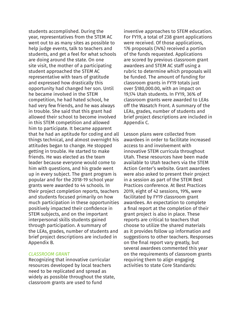students accomplished. During the year, representatives from the STEM AC went out to as many sites as possible to help judge events, talk to teachers and students, and get a feel for what schools are doing around the state. On one site visit, the mother of a participating student approached the STEM AC representative with tears of gratitude and expressed how drastically this opportunity had changed her son. Until he became involved in the STEM competition, he had hated school, he had very few friends, and he was always in trouble. She said that this grant had allowed their school to become involved in this STEM competition and allowed him to participate. It became apparent that he had an aptitude for coding and all things technical, and almost overnight his attitudes began to change. He stopped getting in trouble. He started to make friends. He was elected as the team leader because everyone would come to him with questions, and his grade went up in every subject. The grant program is popular and for the 2018-19 school year grants were awarded to 44 schools. In their project completion reports, teachers and students focused primarily on how much participation in these opportunities positively impacted their confidence in STEM subjects, and on the important interpersonal skills students gained through participation. A summary of the LEAs, grades, number of students and brief project descriptions are included in Appendix B.

## *CLASSROOM GRANT*

Recognizing that innovative curricular resources developed by local teachers need to be replicated and spread as widely as possible throughout the state, classroom grants are used to fund

inventive approaches to STEM education. For FY19, a total of 238 grant applications were received. Of those applications, 176 proposals (74%) received a portion of the funds requested. Applications are scored by previous classroom grant awardees and STEM AC staff using a rubric to determine which proposals will be funded. The amount of funding for classroom grants in FY19 totals just over \$180,000.00, with an impact on 19,174 Utah students. In FY19, 36% of classroom grants were awarded to LEAs off the Wasatch Front. A summary of the LEAs, grades, number of students and brief project descriptions are included in Appendix C.

Lesson plans were collected from awardees in order to facilitate increased access to and involvement with innovative STEM curricula throughout Utah. These resources have been made available to Utah teachers via the STEM Action Center's website. Grant awardees were also asked to present their project in a session as part of the STEM Best Practices conference. At Best Practices 2019, eight of 42 sessions, 19%, were facilitated by FY19 classroom grant awardees. An expectation to complete a final report at the completion of their grant project is also in place. These reports are critical to teachers that choose to utilize the shared materials as it provides follow up information and suggestions to other teachers. Responses on the final report vary greatly, but several awardees commented this year on the requirements of classroom grants requiring them to align engaging activities to state Core Standards: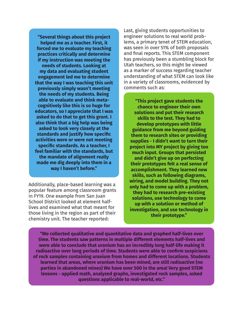**"Several things about this project helped me as a teacher. First, it forced me to evaluate my teaching practices critically and determine if my instruction was meeting the needs of students. Looking at my data and evaluating student engagement led me to determine that the way I was teaching this unit previously simply wasn't meeting the needs of my students. Being able to evaluate and think metacognitively like this is so huge for educators, so I appreciate that I was asked to do that to get this grant. I also think that a big help was being asked to look very closely at the standards and justify how specific activities were or were not meeting specific standards. As a teacher, I feel familiar with the standards, but the mandate of alignment really made me dig deeply into them in a way I haven't before."**

Additionally, place-based learning was a popular feature among classroom grants in FY19. One example from San Juan School District looked at element halflives and examined what that meant for those living in the region as part of their chemistry unit. The teacher reported:

Last, giving students opportunities to engineer solutions to real world problems, a primary tenet of STEM education, was seen in over 51% of both proposals and final reports. This STEM component has previously been a stumbling block for Utah teachers, so this might be viewed as a marker of success regarding teacher understanding of what STEM can look like in a variety of classrooms, evidenced by comments such as:

**"This project gave students the chance to engineer their own solutions and put their research skills to the test. They had to develop prototypes with little guidance from me beyond guiding them to research sites or providing supplies - I didn't want to turn their project into MY project by giving too much input. Groups that persisted and didn't give up on perfecting their prototypes felt a real sense of accomplishment. They learned new skills, such as following diagrams, wiring, and model building. They not only had to come up with a problem, they had to research pre-existing solutions, use technology to come up with a solution or method of investigation, and use technology in their prototype."**

**"We collected qualitative and quantitative data and graphed half-lives over time. The students saw patterns in multiple different elements half-lives and were able to conclude that uranium has an incredibly long half-life making it radioactive over long periods of time. Students were able to confirm suspicions of rock samples containing uranium from homes and different locations. Students learned that areas, where uranium has been mined, are still radioactive (no parties in abandoned mines) We have over 500 in the area! Very good STEM lessons - applied math, analyzed graphs, investigated rock samples, asked questions applicable to real-world, etc."**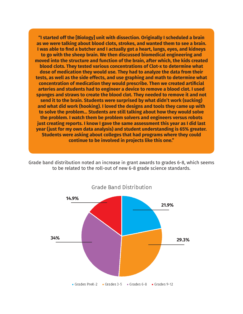**"I started off the [Biology] unit with dissection. Originally I scheduled a brain as we were talking about blood clots, strokes, and wanted them to see a brain. I was able to find a butcher and I actually got a heart, lungs, eyes, and kidneys to go with the sheep brain. We then discussed biomedical engineering and moved into the structure and function of the brain, after which, the kids created blood clots. They tested various concentrations of Clot-x to determine what dose of medication they would use. They had to analyze the data from their tests, as well as the side effects, and use graphing and math to determine what concentration of medication they would prescribe. Then we created artificial arteries and students had to engineer a device to remove a blood clot. I used sponges and straws to create the blood clot. They needed to remove it and not send it to the brain. Students were surprised by what didn't work (sucking) and what did work (hooking). I loved the designs and tools they came up with to solve the problem... Students are still talking about how they would solve the problem. I watch them be problem solvers and engineers versus robots just creating reports. I know I gave the same assessment this year as I did last year (just for my own data analysis) and student understanding is 65% greater. Students were asking about colleges that had programs where they could continue to be involved in projects like this one."**

Grade band distribution noted an increase in grant awards to grades 6-8, which seems to be related to the roll-out of new 6-8 grade science standards.

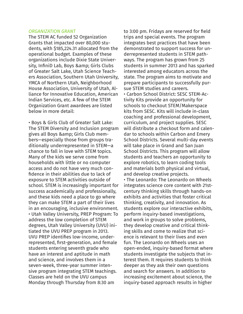#### *ORGANIZATION GRANT*

The STEM AC funded 52 Organization Grants that impacted over 80,000 students, with \$185,224.31 allocated from the operational budget. Examples of these organizations include Dixie State University, InfiniD Lab, Boys & amp; Girls Clubs of Greater Salt Lake, Utah Science Teachers Association, Southern Utah University, YMCA of Northern Utah, Neighborhood House Association, University of Utah, Alliance for Innovative Education, American Indian Services, etc. A few of the STEM Organization Grant awardees are listed below in more detail:

• Boys & Girls Club of Greater Salt Lake: The STEM Diversity and Inclusion program gives all Boys & amp; Girls Club members—especially those from groups traditionally underrepresented in STEM—a chance to fall in love with STEM topics. Many of the kids we serve come from households with little or no computer access and do not have very much confidence in their abilities due to lack of exposure to STEM activities outside of school. STEM is increasingly important for success academically and professionally, and these kids need a place to go where they can make STEM a part of their lives in an encouraging, inclusive environment. • Utah Valley University, PREP Program: To address the low completion of STEM degrees, Utah Valley University (UVU) initiated the UVU PREP program in 2013. UVU PREP identifies low-income, underrepresented, first-generation, and female students entering seventh grade who have an interest and aptitude in math and science, and involves them in a seven-week, three-year summer intensive program integrating STEM teachings. Classes are held on the UVU campus Monday through Thursday from 8:30 am

to 3:00 pm. Fridays are reserved for field trips and special events. The program integrates best practices that have been demonstrated to support success for underrepresented students in STEM pathways. The program has grown from 25 students in summer 2013 and has sparked interested among educators across the state. The program aims to motivate and prepare participants to successfully pursue STEM studies and careers.

• Carbon School District: SESC STEM-Activity Kits provide an opportunity for schools to checkout STEM/Makerspace kits from SESC. Kits will include in-class coaching and professional development, curriculum, and project supplies. SESC will distribute a checkout form and calendar to schools within Carbon and Emery School Districts. Several multi-day events will take place in Grand and San Juan School Districts. This program will allow students and teachers an opportunity to explore robotics, to learn coding tools and materials both physical and virtual, and develop creative projects.

• The Leonardo: The Leonardo on Wheels integrates science core content with 21stcentury thinking skills through hands-on exhibits and activities that foster critical thinking, creativity, and innovation. As students explore our interactive exhibits, perform inquiry-based investigations, and work in groups to solve problems, they develop creative and critical thinking skills and come to realize that science is relevant to their lives and even fun. The Leonardo on Wheels uses an open-ended, inquiry-based format where students investigate the subjects that interest them. It requires students to think deeper as they ask their own questions and search for answers. In addition to increasing excitement about science, the inquiry-based approach results in higher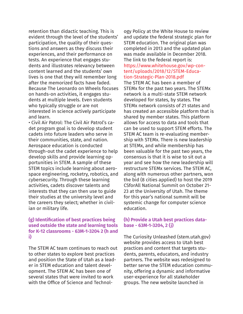retention than didactic teaching. This is evident through the level of the students' participation, the quality of their questions and answers as they discuss their experiences, and their performance on tests. An experience that engages students and illustrates relevancy between content learned and the students' own lives is one that they will remember long after the memorized facts have faded. Because The Leonardo on Wheels focuses on hands-on activities, it engages students at multiple levels. Even students who typically struggle or are not interested in science actively participate and learn.

• Civil Air Patrol: The Civil Air Patrol's cadet program goal is to develop student cadets into future leaders who serve in their communities, state, and nation. Aerospace education is conducted through-out the cadet experience to help develop skills and provide learning opportunities in STEM. A sample of these STEM topics include learning about aerospace engineering, rocketry, robotics, and cybersecurity. Through these learning activities, cadets discover talents and interests that they can then use to guide their studies at the university level and the careers they select; whether in civilian or military life.

#### **(g) Identification of best practices being used outside the state and learning tools for K-12 classrooms - 63M-1-3204 2 (h and i)**

The STEM AC team continues to reach out to other states to explore best practices and position the State of Utah as a leader in STEM education and talent development. The STEM AC has been one of several states that were invited to work with the Office of Science and Technology Policy at the White House to review and update the federal strategic plan for STEM education. The original plan was completed in 2013 and the updated plan was made available in December 2018. The link to the federal report is: https://www.whitehouse.gov/wp-content/uploads/2018/12/STEM-Education-Strategic-Plan-2018.pdf

The STEM AC has been a member of STEMx for the past two years. The STEMx network is a multi-state STEM network developed for states, by states. The STEMx network consists of 21 states and has created an accessible platform that is shared by member states. This platform allows for access to data and tools that can be used to support STEM efforts. The STEM AC team is re-evaluating membership with STEMx. There is new leadership at STEMx, and while membership has been valuable for the past two years, the consensus is that it is wise to sit out a year and see how the new leadership will restructure STEMx services. The STEM AC, along with numerous other partners, won the bid (8 cities applied) to host the 2019 CSforAll National Summit on October 21- 23 at the University of Utah. The theme for this year's national summit will be systemic change for computer science education.

## **(h) Provide a Utah best practices database - 63M-1-3204, 2 (j)**

The Curiosity Unleashed (stem.utah.gov) website provides access to Utah best practices and content that targets students, parents, educators, and industry partners. The website was redesigned to better serve the STEM education community, offering a dynamic and informative user-experience for all stakeholder groups. The new website launched in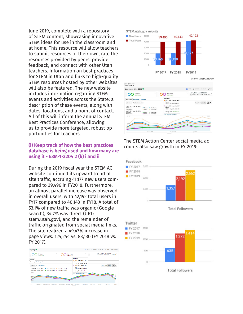June 2019, complete with a repository of STEM content, showcasing innovative STEM ideas for use in the classroom and at home. This resource will allow teachers to submit resources of their own, rate the resources provided by peers, provide feedback, and connect with other Utah teachers. Information on best practices for STEM in Utah and links to high-quality STEM resources hosted by other websites will also be featured. The new website includes information regarding STEM events and activities across the State; a description of these events, along with dates, locations, and a point of contact. All of this will inform the annual STEM Best Practices Conference, allowing us to provide more targeted, robust opportunities for teachers.

## **(i) Keep track of how the best practices database is being used and how many are using it - 63M-1-3204 2 (k) i and ii**

During the 2019 fiscal year the STEM AC website continued its upward trend of site traffic, accruing 41,177 new users compared to 39,496 in FY2018. Furthermore, an almost parallel increase was observed in overall users, with 42,192 total users in FY17 compared to 40,143 in FY18. A total of 53.1% of new traffic was organic (Google search), 34.7% was direct (URL: stem.utah.gov), and the remainder of traffic originated from social media links. The site realized a 49.47% increase in page views: 124,244 vs. 83,130 (FY 2018 vs. FY 2017).







The STEM Action Center social media accounts also saw growth in FY 2019:





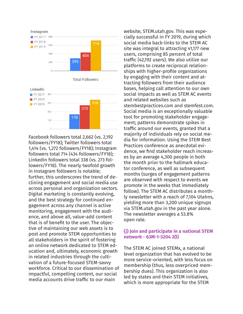

Facebook followers total 2,662 (vs. 2,192 followers/FY18); Twitter followers total 1,414 (vs. 1,272 followers/FY18); Instagram followers total 714 (434 followers/FY18); LinkedIn followers total 338 (vs. 273 followers/FY18). The nearly twofold growth in Instagram followers is notable; further, this underscores the trend of declining engagement and social media use across personal and organization sectors. Digital marketing is constantly evolving, and the best strategy for continued engagement across any channel is active monitoring, engagement with the audience, and above all, value-add content that is of benefit to the user. The objective of maintaining our web assets is to post and promote STEM opportunities to all stakeholders in the spirit of fostering an online network dedicated to STEM education and, ultimately, economic growth in related industries through the cultivation of a future-focused STEM-savvy workforce. Critical to our dissemination of impactful, compelling content, our social media accounts drive traffic to our main

website, STEM.utah.gov. This was especially successful in FY 2019, during which social media back-links to the STEM AC site was integral to attracting 41,177 new users, comprising 85 percent of total traffic (42,192 users). We also utilize our platforms to create reciprocal relationships with higher-profile organizations by engaging with their content and attracting followers from their audience bases, helping call attention to our own social impacts as well as STEM AC events and related websites such as stembestpractices.com and stemfest.com. Social media is an exceptionally valuable tool for promoting stakeholder engagement; patterns demonstrate spikes in traffic around our events, granted that a majority of individuals rely on social media for information. Using the STEM Best Practices conference as anecdotal evidence, we find stakeholder reach increases by an average 4,300 people in both the month prior to the hallmark educator conference, as well as subsequent months (surges of engagement patterns are observed with respect to events we promote in the weeks that immediately follow). The STEM AC distributes a monthly newsletter with a reach of 7,104 Utahns, yielding more than 3,200 unique signups via STEM.utah.gov in the past year alone. The newsletter averages a 53.8% open rate.

#### **(j) Join and participate in a national STEM network - 63M-1-3204 2(l)**

The STEM AC joined STEMx, a national level organization that has evolved to be more service-oriented, with less focus on membership (thus, less overpriced membership dues). This organization is also led by states and their STEM initiatives, which is more appropriate for the STEM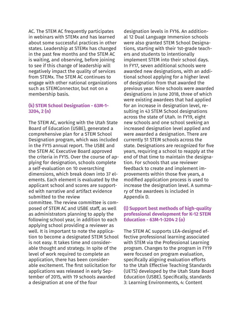AC. The STEM AC frequently participates in webinars with STEMx and has learned about some successful practices in other states. Leadership at STEMx has changed in the past few months and the STEM AC is waiting, and observing, before joining to see if this change of leadership will negatively impact the quality of services from STEMx. The STEM AC continues to engage with other national organizations such as STEMConnector, but not on a membership basis.

#### **(k) STEM School Designation - 63M-1- 3204, 2 (n)**

The STEM AC, working with the Utah State Board of Education (USBE), generated a comprehensive plan for a STEM School Designation program, which was included in the FY15 annual report. The USBE and the STEM AC Executive Board approved the criteria in FY15. Over the course of applying for designation, schools complete a self-evaluation on 10 overarching dimensions, which break down into 37 elements. Each element is evaluated by the applicant school and scores are supported with narrative and artifact evidence submitted to the review committee. The review committee is composed of STEM AC and USBE staff, as well as administrators planning to apply the following school year, in addition to each applying school providing a reviewer as well. It is important to note the application to become a designated STEM School is not easy. It takes time and considerable thought and strategy. In spite of the level of work required to complete an application, there has been considerable excitement. The first solicitation for applications was released in early September of 2015, with 19 schools awarded a designation at one of the four

designation levels in FY16. An additional 12 Dual Language Immersion schools were also granted STEM School Designations, starting with their 1st-grade teachers and students to intentionally implement STEM into their school days. In FY17, seven additional schools were awarded new designations, with an additional school applying for a higher level of designation from that awarded the previous year. Nine schools were awarded designations in June 2018, three of which were existing awardees that had applied for an increase in designation level, resulting in 43 STEM School designations across the state of Utah. In FY19, eight new schools and one school seeking an increased designation level applied and were awarded a designation. There are currently 51 STEM schools across the state. Designations are recognized for five years, requiring a school to reapply at the end of that time to maintain the designation. For schools that use reviewer feedback to create and implement improvements within those five years, a modified application process is used to increase the designation level. A summary of the awardees is included in Appendix D.

## **(l) Support best methods of high-quality professional development for K-12 STEM Education - 63M-1-3204 2 (o)**

The STEM AC supports LEA-designed effective professional learning associated with STEM via the Professional Learning program. Changes to the program in FY19 were focused on program evaluation, specifically aligning evaluation efforts to the Utah Effective Teaching Standards (UETS) developed by the Utah State Board Education (USBE). Specifically, standards 3: Learning Environments, 4: Content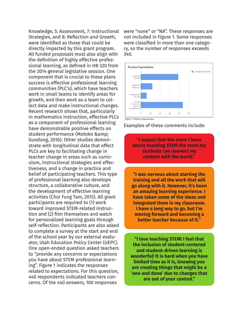Knowledge, 5: Assessment, 7: Instructional Strategies, and 8: Reflection and Growth, were identified as those that could be directly impacted by this grant program. All funded proposals must also align with the definition of highly effective professional learning, as defined in HB 320 from the 2014 general legislative session. One component that is crucial to these plans success is effective professional learning communities (PLC's), which have teachers work in small teams to identify areas for growth, and then work as a team to collect data and make instructional changes. Recent research shows that, particularly in mathematics instruction, effective PLCs as a component of professional learning have demonstrable positive effects on student performance (Motoko & Guodong, 2016). Other studies demonstrate with longitudinal data that effect PLCs are key to facilitating change in teacher change in areas such as curriculum, instructional strategies and effectiveness, and a change in practice and belief of participating teachers. This type of professional learning also develops structure, a collaborative culture, and the development of effective learning activities (Choi Fung Tam, 2015). All grant participants are required to (1) work toward improved STEM-related instruction and (2) film themselves and watch for personalized learning goals through self-reflection. Participants are also asked to complete a survey at the start and end of the school year by our external evaluator, Utah Education Policy Center (UEPC). One open-ended question asked teachers to "provide any concerns or expectations you have about STEM professional learning". Figure 1 indicates the responses related to expectations. For this question, 440 respondents indicated teachers concerns. Of the 440 answers, 100 responses

were "none" or "NA". These responses are not included in Figure 1. Some responses were classified in more than one category, so the number of responses exceeds 340.



Examples of these comments include:

**"I expect that the more I learn about teaching STEM the more my students can connect my content with the world."**

**"I was nervous about starting the training and all the work that will go along with it. However, it's been an amazing learning experience. I have taken some of the ideas and integrated them in my classroom. I have a long way to go, but I'm moving forward and becoming a better teacher because of it."**

**"I love teaching STEM! I feel that the inclusion of student-centered and student-driven learning is wonderful! It is hard when you have limited time as it is, knowing you are creating things that might be a 'one and done' due to changes that are out of your control."**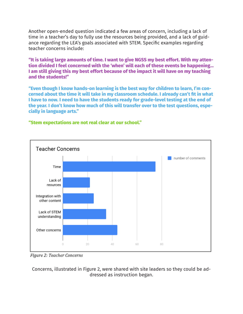Another open-ended question indicated a few areas of concern, including a lack of time in a teacher's day to fully use the resources being provided, and a lack of guidance regarding the LEA's goals associated with STEM. Specific examples regarding teacher concerns include:

**"It is taking large amounts of time. I want to give NGSS my best effort. With my attention divided I feel concerned with the 'when' will each of these events be happening… I am still giving this my best effort because of the impact it will have on my teaching and the students!"**

**"Even though I know hands-on learning is the best way for children to learn, I'm concerned about the time it will take in my classroom schedule. I already can't fit in what I have to now. I need to have the students ready for grade-level testing at the end of the year. I don't know how much of this will transfer over to the test questions, especially in language arts."**



**"Stem expectations are not real clear at our school."** 

Figure 2: Teacher Concerns

Concerns, illustrated in Figure 2, were shared with site leaders so they could be addressed as instruction began.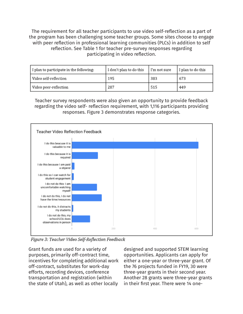The requirement for all teacher participants to use video self-reflection as a part of the program has been challenging some teacher groups. Some sites choose to engage with peer reflection in professional learning communities (PLCs) in addition to self reflection. See Table 1 for teacher pre-survey responses regarding participating in video reflection.

| I plan to participate in the following: | I don't plan to do this | l I'm not sure | I plan to do this |  |
|-----------------------------------------|-------------------------|----------------|-------------------|--|
| Video self-reflection                   | 195                     | 383            | 673               |  |
| Video peer-reflection                   | 287                     | 515            | 449               |  |

Teacher survey respondents were also given an opportunity to provide feedback regarding the video self- reflection requirement, with 1,116 participants providing responses. Figure 3 demonstrates response categories.



Figure 3: Teacher Video Self-Reflection Feedback

Grant funds are used for a variety of purposes, primarily off-contract time, incentives for completing additional work off-contract, substitutes for work-day efforts, recording devices, conference transportation and registration (within the state of Utah), as well as other locally

designed and supported STEM learning opportunities. Applicants can apply for either a one-year or three-year grant. Of the 76 projects funded in FY19, 30 were three-year grants in their second year. Another 28 grants were three-year grants in their first year. There were 14 one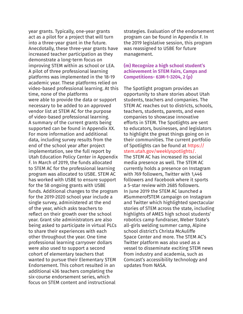year grants. Typically, one-year grants act as a pilot for a project that will turn into a three-year grant in the future. Anecdotally, these three-year grants have increased teacher participation as they demonstrate a long-term focus on improving STEM within as school or LEA. A pilot of three professional learning platforms was implemented in the 18-19 academic year. These platforms relied on video-based professional learning. At this time, none of the platforms were able to provide the data or support necessary to be added to an approved vendor list at STEM AC for the purpose of video-based professional learning. A summary of the current grants being supported can be found in Appendix XX. For more information and additional data, including survey results from the end of the school year after project implementation, see the full report by Utah Education Policy Center in Appendix F. In March of 2019, the funds allocated to STEM AC for the professional learning program was allocated to USBE. STEM AC has worked with USBE to ensure support for the 58 ongoing grants with USBE funds. Additional changes to the program for the 2019-2020 school year include a single survey, administered at the end of the year, which asks teachers to reflect on their growth over the school year. Grant site administrators are also being asked to participate in virtual PLCs to share their experiences with each other throughout the year. One time professional learning carryover dollars were also used to support a second cohort of elementary teachers that wanted to pursue their Elementary STEM Endorsement. This cohort resulted in an additional 436 teachers completing the six-course endorsement series, which focus on STEM content and instructional

strategies. Evaluation of the endorsement program can be found in Appendix F. In the 2019 legislative session, this program was reassigned to USBE for future management.

## **(m) Recognize a high school student's achievement in STEM Fairs, Camps and Competitions- 63M-1-3204, 2 (p)**

The Spotlight program provides an opportunity to share stories about Utah students, teachers and companies. The STEM AC reaches out to districts, schools, teachers, students, parents, and even companies to showcase innovative efforts in STEM. The Spotlights are sent to educators, businesses, and legislators to highlight the great things going on in their communities. The current portfolio of Spotlights can be found at https:// stem.utah.gov/weeklyspotlights/. The STEM AC has increased its social media presence as well. The STEM AC currently holds a presence on Instagram with 769 followers, Twitter with 1,446 followers and Facebook where it sports a 5-star review with 2685 followers. In June 2019 the STEM AC launched a #SummerofSTEM campaign on Instagram and Twitter which highlighted spectacular stories of STEM across the state, including highlights of AMES high school students' robotics camp fundraiser, Weber State's all-girls welding summer camp, Alpine school district's Christa McAuliffe Space Center and more. The STEM AC's Twitter platform was also used as a vessel to disseminate exciting STEM news from industry and academia, such as Comcast's accessibility technology and updates from NASA.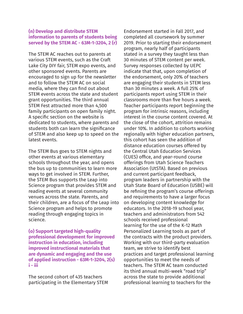#### **(n) Develop and distribute STEM information to parents of students being served by the STEM AC - 63M-1-3204, 2 (r)**

The STEM AC reaches out to parents at various STEM events, such as the Craft Lake City DIY fair, STEM expo events, and other sponsored events. Parents are encouraged to sign up for the newsletter and to follow the STEM AC on social media, where they can find out about STEM events across the state and student grant opportunities. The third annual STEM Fest attracted more than 4,500 family participants on open family night. A specific section on the website is dedicated to students, where parents and students both can learn the significance of STEM and also keep up to speed on the latest events.

The STEM Bus goes to STEM nights and other events at various elementary schools throughout the year, and opens the bus up to communities to learn more ways to get involved in STEM. Further, the STEM Bus supports the Leap into Science program that provides STEM and reading events at several community venues across the state. Parents, and their children, are a focus of the Leap into Science program and helps to promote reading through engaging topics in science.

**(o) Support targeted high-quality professional development for improved instruction in education, including improved instructional materials that are dynamic and engaging and the use of applied instruction - 63M-1-3204, 2(s) i - iii**

The second cohort of 435 teachers participating in the Elementary STEM Endorsement started in Fall 2017, and completed all coursework by summer 2019. Prior to starting their endorsement program, nearly half of participants stated in a survey they taught less than 30 minutes of STEM content per week. Survey responses collected by UEPC indicate that that, upon completion of the endorsement, only 20% of teachers are engaging their students in STEM less than 30 minutes a week. A full 25% of participants report using STEM in their classrooms more than five hours a week. Teacher participants report beginning the program for intrinsic reasons, including interest in the course content covered. At the close of the cohort, attrition remains under 10%. In addition to cohorts working regionally with higher education partners, this cohort has seen the addition of distance education courses offered by the Central Utah Education Services (CUES) office, and year-round course offerings from Utah Science Teachers Association (UtSTA). Based on previous and current participant feedback, program leaders in partnership with the Utah State Board of Education (USBE) will be refining the program's course offerings and requirements to have a larger focus on developing content knowledge for educators. In the 2018-19 school year, teachers and administrators from 542 schools received professional learning for the use of the K-12 Math Personalized Learning tools as part of the contracts with the product providers. Working with our third-party evaluation team, we strive to identify best practices and target professional learning opportunities to meet the needs of teachers. The STEM AC team conducted its third annual multi-week "road trip" across the state to provide additional professional learning to teachers for the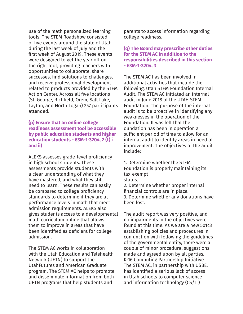use of the math personalized learning tools. The STEM Roadshow consisted of five events around the state of Utah during the last week of July and the first week of August 2019. These events were designed to get the year off on the right foot, providing teachers with opportunities to collaborate, share successes, find solutions to challenges, and receive professional development related to products provided by the STEM Action Center. Across all five locations (St. George, Richfield, Orem, Salt Lake, Layton, and North Logan) 257 participants attended.

## **(p) Ensure that an online college readiness assessment tool be accessible by public education students and higher education students - 63M-1-3204, 2 (t) i and ii)**

ALEKS assesses grade-level proficiency in high school students. These assessments provide students with a clear understanding of what they have mastered, and what they still need to learn. These results can easily be compared to college proficiency standards to determine if they are at performance levels in math that meet admission requirements. ALEKS also gives students access to a developmental math curriculum online that allows them to improve in areas that have been identified as deficient for college admission.

The STEM AC works in collaboration with the Utah Education and Telehealth Network (UETN) to support the UtahFutures and American Graduate program. The STEM AC helps to promote and disseminate information from both UETN programs that help students and

parents to access information regarding college readiness.

## **(q) The Board may prescribe other duties for the STEM AC in addition to the responsibilities described in this section - 63M-1-3204, 3**

The STEM AC has been involved in additional activities that include the following: Utah STEM Foundation Internal Audit. The STEM AC initiated an internal audit in June 2018 of the UTAH STEM Foundation. The purpose of the internal audit is to be proactive in identifying any weaknesses in the operation of the Foundation. It was felt that the oundation has been in operation a sufficient period of time to allow for an internal audit to identify areas in need of improvement. The objectives of the audit include:

1. Determine whether the STEM Foundation is properly maintaining its tax-exempt status. 2. Determine whether proper internal financial controls are in place. 3. Determine whether any donations have been lost.

The audit report was very positive, and no impairments in the objectives were found at this time. As we are a new 501c3 establishing policies and procedures in conjunction with following the guidelines of the governmental entity, there were a couple of minor procedural suggestions made and agreed upon by all parties. K-16 Computing Partnership Initiative The STEM AC, in partnership with USBE, has identified a serious lack of access in Utah schools to computer science and information technology (CS/IT)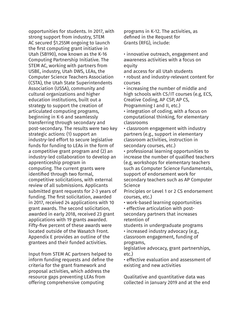opportunities for students. In 2017, with strong support from industry, STEM AC secured \$1.255M ongoing to launch the first computing grant initiative in Utah (SB190), now known as the K-16 Computing Partnership Initiative. The STEM AC, working with partners from USBE, industry, Utah DWS, LEAs, the Computer Science Teachers Association (CSTA), the Utah State Superintendents Association (USSA), community and cultural organizations and higher education institutions, built out a strategy to support the creation of articulated computing programs, beginning in K-6 and seamlessly transferring through secondary and post-secondary. The results were two key strategic actions: (1) support an industry-led effort to secure legislative funds for funding to LEAs in the form of a competitive grant program and (2) an industry-led collaboration to develop an apprenticeship program in computing. The current grants were identified through two formal, competitive solicitations, with external review of all submissions. Applicants submitted grant requests for 2-3 years of funding. The first solicitation, awarded in 2017, received 24 applications with 10 grant awards. The second solicitation, awarded in early 2018, received 23 grant applications with 19 grants awarded. Fifty-five percent of these awards were located outside of the Wasatch Front. Appendix E provides an outline of the grantees and their funded activities.

Input from STEM AC partners helped to inform funding requests and define the criteria for the grant framework and proposal activities, which address the resource gaps preventing LEAs from offering comprehensive computing

programs in K-12. The activities, as defined in the Request for Grants (RFG), include:

• innovative outreach, engagement and awareness activities with a focus on equity

and access for all Utah students • robust and industry-relevant content for courses

• increasing the number of middle and high schools with CS/IT courses (e.g, ECS, Creative Coding, AP CSP, AP CS, Programming I and II, etc.)

• integration of coding, with a focus on computational thinking, for elementary classrooms

• classroom engagement with industry partners (e.g., support in elementary classroom activities, instruction in secondary courses, etc.)

• professional learning opportunities to increase the number of qualified teachers (e.g, workshops for elementary teachers such as Computer Science Fundamentals, support of endorsement work for secondary teachers such as AP Computer Science

Principles or Level 1 or 2 CS endorsement courses, etc.)

• work-based learning opportunities

• effective articulation with postsecondary partners that increases retention of

students in undergraduate programs

• increased industry advocacy (e.g., classroom engagement, funding of programs,

legislative advocacy, grant partnerships, etc.)

• effective evaluation and assessment of existing and new activities

Qualitative and quantitative data was collected in January 2019 and at the end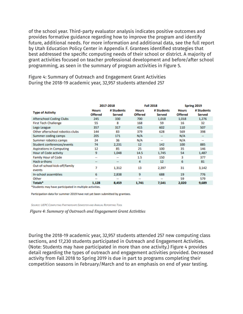of the school year. Third-party evaluator analysis indicates positive outcomes and provides formative guidance regarding how to improve the program and identify future, additional needs. For more information and additional data, see the full report by Utah Education Policy Center in Appendix F. Grantees identified strategies that best addressed the specific computing needs of their school or district. A majority of grant activities focused on teacher professional development and before/after school programming, as seen in the summary of program activities in Figure 5.

Figure 4: Summary of Outreach and Engagement Grant Activities During the 2018-19 academic year, 32,957 students attended 257

|                                         | 2017-2018                      |                                                                     | <b>Fall 2018</b>               |                          | Spring 2019                    |                             |
|-----------------------------------------|--------------------------------|---------------------------------------------------------------------|--------------------------------|--------------------------|--------------------------------|-----------------------------|
| <b>Type of Activity</b>                 | <b>Hours</b><br><b>Offered</b> | # Students<br><b>Served</b>                                         | <b>Hours</b><br><b>Offered</b> | # Students<br>Served     | <b>Hours</b><br><b>Offered</b> | # Students<br><b>Served</b> |
| <b>Afterschool Coding Clubs</b>         | 245                            | 330                                                                 | 700                            | 1,018                    | 1,018                          | 1,276                       |
| <b>First Tech Challenge</b>             | 55                             | 8                                                                   | 168                            | 59                       | 16                             | 32                          |
| Lego League                             | 357                            | 317                                                                 | 415                            | 602                      | 110                            | 507                         |
| Other afterschool robotics clubs        | 144                            | 83                                                                  | 379                            | 628                      | 569                            | 398                         |
| Summer coding camps                     | 205                            | 171                                                                 | N/A                            | -                        | N/A                            | -                           |
| Summer robotics camps                   | 24                             | 36                                                                  | N/A                            | $\overline{\phantom{a}}$ | N/A                            | --                          |
| <b>Student conferences/events</b>       | 74                             | 2,231                                                               | 12                             | 142                      | 100                            | 885                         |
| <b>Aspirations in Computing</b>         | 12                             | 85                                                                  | 25                             | 100                      | 35                             | 146                         |
| Hour of Code activity                   | 9                              | 1,048                                                               | 14.5                           | 1,745                    | 54                             | 1,487                       |
| <b>Family Hour of Code</b>              | $\frac{1}{2}$                  | $\frac{1}{2} \left( \frac{1}{2} \right) \left( \frac{1}{2} \right)$ | 1.5                            | 150                      | 3                              | 377                         |
| Hack-a-thons                            | $\overline{\phantom{a}}$       | $\overline{\phantom{a}}$                                            | 4                              | 12                       | 6                              | 81                          |
| Out-of-school kick-off/family<br>events | 7                              | 1,312                                                               | 13                             | 2,397                    | 31                             | 3,142                       |
| In-school assemblies                    | 6                              | 2,838                                                               | 9                              | 688                      | 19                             | 776                         |
| Other                                   | $\cdots$                       | $-0.41$                                                             | $\sim$                         | 44                       | 59                             | 579                         |
| Totals*                                 | 1,128                          | 8,459                                                               | 1,741                          | 7,541                    | 2,020                          | 9,689                       |

\*Students may have participated in multiple activities.

Participation data for summer 2019 have not yet been submitted by grantees.

SOURCE: UEPC COMPUTING PARTNERSHIPS SEMESTER AND ANNUAL REPORTING TOOL

Figure 4: Summary of Outreach and Engagement Grant Activities

During the 2018-19 academic year, 32,957 students attended 257 new computing class sections, and 17,230 students participated in Outreach and Engagement Activities. (Note: Students may have participated in more than one activity.) Figure 4 provides detail regarding the types of outreach and engagement activities provided. Decreased activity from Fall 2018 to Spring 2019 is due in part to programs completing their competition seasons in February/March and to an emphasis on end of year testing.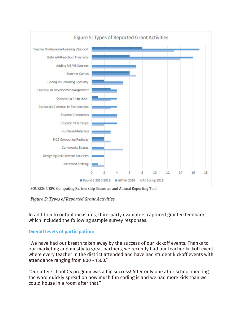

SOURCE: UEPC Computing Partnership Semester and Annual Reporting Tool

## Figure 5: Types of Reported Grant Activities

In addition to output measures, third-party evaluators captured grantee feedback, which included the following sample survey responses.

## **Overall levels of participation:**

"We have had our breath taken away by the success of our kickoff events. Thanks to our marketing and mostly to great partners, we recently had our teacher kickoff event where every teacher in the district attended and have had student kickoff events with attendance ranging from 800 - 1500."

"Our after school CS program was a big success! After only one after school meeting, the word quickly spread on how much fun coding is and we had more kids than we could house in a room after that."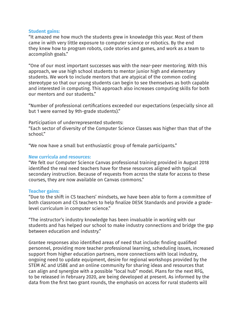#### **Student gains:**

"It amazed me how much the students grew in knowledge this year. Most of them came in with very little exposure to computer science or robotics. By the end they knew how to program robots, code stories and games, and work as a team to accomplish goals."

"One of our most important successes was with the near-peer mentoring. With this approach, we use high school students to mentor junior high and elementary students. We work to include mentors that are atypical of the common coding stereotype so that our young students can begin to see themselves as both capable and interested in computing. This approach also increases computing skills for both our mentors and our students."

"Number of professional certifications exceeded our expectations (especially since all but 1 were earned by 9th-grade students)."

Participation of underrepresented students:

"Each sector of diversity of the Computer Science Classes was higher than that of the school."

"We now have a small but enthusiastic group of female participants."

#### **New curricula and resources:**

"We felt our Computer Science Canvas professional training provided in August 2018 identified the real need teachers have for these resources aligned with typical secondary instruction. Because of requests from across the state for access to these courses, they are now available on Canvas commons."

#### **Teacher gains:**

"Due to the shift in CS teachers' mindsets, we have been able to form a committee of both classroom and CS teachers to help finalize DESK Standards and provide a gradelevel curriculum in computer science."

"The instructor's industry knowledge has been invaluable in working with our students and has helped our school to make industry connections and bridge the gap between education and industry."

Grantee responses also identified areas of need that include: finding qualified personnel, providing more teacher professional learning, scheduling issues, increased support from higher education partners, more connections with local industry, ongoing need to update equipment, desire for regional workshops provided by the STEM AC and USBE and an online community for sharing ideas and resources that can align and synergize with a possible "local hub" model. Plans for the next RFG, to be released in February 2020, are being developed at present. As informed by the data from the first two grant rounds, the emphasis on access for rural students will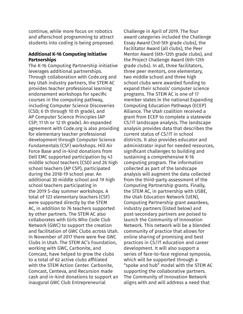continue, while more focus on robotics and afterschool programming to attract students into coding is being proposed.

## **Additional K-16 Computing Initiative Partnerships**

The K-16 Computing Partnership initiative leverages additional partnerships. Through collaboration with Code.org and key Utah industry partners, the STEM AC provides teacher professional learning endorsement workshops for specific courses in the computing pathway, including Computer Science Discoveries (CSD; 6 th through 10 th grade), and AP Computer Science Principles (AP CSP; 11 th or 12 th grade). An expanded agreement with Code.org is also providing for elementary teacher professional development through Computer Science Fundamentals (CSF) workshops. Hill Air Force Base and in-kind donations from Dell EMC supported participation by 43 middle school teachers (CSD) and 26 high school teachers (AP CSP), participated during the 2018-19 school year. An additional 30 middle school and 19 high school teachers participating in the 2019 5-day summer workshops. A total of 123 elementary teachers (CSF) were supported directly by the STEM AC, in addition to 76 teachers supported by other partners. The STEM AC also collaborates with Girls Who Code Club Network (GWC) to support the creation and facilitation of GWC Clubs across Utah. In November of 2017 there were five GWC Clubs in Utah. The STEM AC's Foundation, working with GWC, Carbonite, and Comcast, have helped to grow the clubs to a total of 62 active clubs affiliated with the STEM Action Center. Carbonite, Comcast, Centeva, and Recursion made cash and in-kind donations to support an inaugural GWC Club Entrepreneurial

Challenge in April of 2019. The four award categories included the Challenge Essay Award (3rd-5th grade clubs), the Facilitator Award (all clubs), the Peer Mentor Award (6th-12th grade clubs), and the Project Challenge Award (6th-12th grade clubs). In all, three facilitators, three peer mentors, one elementary, two middle school and three high school clubs were awarded funding to expand their schools' computer science programs. The STEM AC is one of 17 member states in the national Expanding Computing Education Pathways (ECEP) Alliance. The Utah coalition received a grant from ECEP to complete a statewide CS/IT landscape analysis. The landscape analysis provides data that describes the current status of CS/IT in school districts. It also provides educator and administrator input for needed resources, significant challenges to building and sustaining a comprehensive K-16 computing program. The information collected as part of the landscape analysis will augment the data collected from the third-party assessment of the Computing Partnership grants. Finally, the STEM AC, in partnership with USBE, the Utah Education Network (UEN), Computing Partnership grant awardees, industry partners (listed below) and post-secondary partners are poised to launch the Community of Innovation Network. This network will be a blended community of practice that allows for online sharing of promising and best practices in CS/IT education and career development. It will also support a series of face-to-face regional symposia, which will be supported through a "spoke and hub" model with the STEM AC supporting the collaborative partners. The Community of Innovation Network aligns with and will address a need that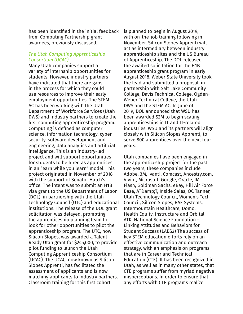has been identified in the initial feedback from Computing Partnership grant awardees, previously discussed.

## *The Utah Computing Apprenticeship Consortium (UCAC)*

Many Utah companies support a variety of internship opportunities for students. However, industry partners have indicated that there are gaps in the process for which they could use resources to improve their early employment opportunities. The STEM AC has been working with the Utah Department of Workforce Services (Utah DWS) and industry partners to create the first computing apprenticeship program. Computing is defined as computer science, information technology, cybersecurity, software development and engineering, data analytics and artificial intelligence. This is an industry-led project and will support opportunities for students to be hired as apprentices, in an "earn while you learn" model. This project originated in November of 2018 with the support of Senator Hatch's office. The intent was to submit an H1B visa grant to the US Department of Labor (DOL), in partnership with the Utah Technology Council (UTC) and educational institutions. The release of the DOL grant solicitation was delayed, prompting the apprenticeship planning team to look for other opportunities to pilot the apprenticeship program. The UTC, now Silicon Slopes, was awarded a Talent Ready Utah grant for \$245,000, to provide pilot funding to launch the Utah Computing Apprenticeship Consortium (UCAC). The UCAC, now known as Silicon Slopes Apprenti, has facilitated the assessment of applicants and is now matching applicants to industry partners. Classroom training for this first cohort

is planned to begin in August 2019, with on-the-job training following in November. Silicon Slopes Apprenti will act as intermediary between industry apprenticeship sites and the US Bureau of Apprenticeship. The DOL released the awaited solicitation for the H1B apprenticeship grant program in early August 2018. Weber State University took the lead and submitted a proposal, in partnership with Salt Lake Community College, Davis Technical College, Ogden-Weber Technical College, the Utah DWS and the STEM AC. In June of 2019, DOL announced that WSU has been awarded \$2M to begin scaling apprenticeships in IT and IT-related industries. WSU and its partners will align closely with Silicon Slopes Apprenti, to serve 800 apprentices over the next four years.

Utah companies have been engaged in the apprenticeship project for the past two years; these companies include Adobe, 3M, Ivanti, Comcast, Ancestry.com, Vivint, Microsoft, Google, Oracle, IM Flash, Goldman Sachs, eBay, Hill Air Force Base, AT& T, Inside Sales, OC Tanner, Utah Technology Council, Women's Tech Council, Silicon Slopes, BAE Systems, Intermountain Healthcare, Domo, Health Equity, Instructure and Orbital ATK. National Science Foundation - Linking Attitudes and Behaviors for Student Success (LABS2) The success of key STEM education efforts rely on an effective communication and outreach strategy, with an emphasis on programs that are in Career and Technical Education (CTE). It has been recognized in Utah, as well as in many other states, that CTE programs suffer from myriad negative misperceptions. In order to ensure that any efforts with CTE programs realize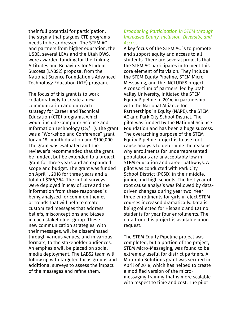their full potential for participation, the stigma that plagues CTE programs needs to be addressed. The STEM AC and partners from higher education, the USBE, several LEAs and the Utah DWS, were awarded funding for the Linking Attitudes and Behaviors for Student Success (LABS2) proposal from the National Science Foundation's Advanced Technology Education (ATE) program.

The focus of this grant is to work collaboratively to create a new communication and outreach strategy for Career and Technical Education (CTE) programs, which would include Computer Science and Information Technology (CS/IT). The grant was a "Workshop and Conference" grant for an 18-month duration and \$100,000. The grant was evaluated and the reviewer's recommended that the grant be funded, but be extended to a project grant for three years and an expanded scope and budget. The grant was funded on April 1, 2018 for three years and a total of \$766,364. The initial surveys were deployed in May of 2019 and the information from these responses is being analyzed for common themes or trends that will help to create customized messages that address beliefs, misconceptions and biases in each stakeholder group. These new communication strategies, with their messages, will be disseminated through various venues, and in various formats, to the stakeholder audiences. An emphasis will be placed on social media deployment. The LABS2 team will follow up with targeted focus groups and additional surveys to assess the impact of the messages and refine them.

## *Broadening Participation in STEM through Increased Equity, Inclusion, Diversity, and Access*

A key focus of the STEM AC is to promote and support equity and access to all students. There are several projects that the STEM AC participates in to meet this core element of its vision. They include the STEM Equity Pipeline, STEM Micro-Messaging, and the INCLUDES project. A consortium of partners, led by Utah Valley University, initiated the STEM Equity Pipeline in 2014, in partnership with the National Alliance for Partnerships in Equity (NAPE), the STEM AC and Park City School District. The pilot was funded by the National Science Foundation and has been a huge success. The overarching purpose of the STEM Equity Pipeline project is to use root cause analysis to determine the reasons why enrollments for underrepresented populations are unacceptably low in STEM education and career pathways. A pilot was conducted with Park City School District (PCSD) in their middle, junior, and high schools. The first year of root cause analysis was followed by datadriven changes during year two. Year three enrollments for girls in elect STEM courses increased dramatically. Data is being collected for Hispanic and Latino students for year four enrollments. The data from this project is available upon request.

The STEM Equity Pipeline project was completed, but a portion of the project, STEM Micro-Messaging, was found to be extremely useful for district partners. A Motorola Solutions grant was secured in April of 2018, which has helped to create a modified version of the micromessaging training that is more scalable with respect to time and cost. The pilot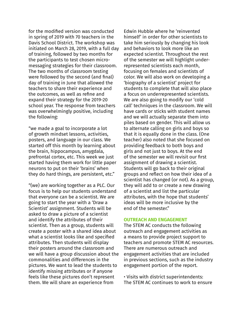for the modified version was conducted in spring of 2019 with 70 teachers in the Davis School District. The workshop was initiated on March 28, 2019, with a full day of training, followed by two months for the participants to test chosen micromessaging strategies for their classroom. The two months of classroom testing were followed by the second (and final) day of training in June that allowed the teachers to share their experience and the outcomes, as well as refine and expand their strategy for the 2019-20 school year. The response from teachers was overwhelmingly positive, including the following:

"we made a goal to incorporate a lot of growth mindset lessons, activities, posters, and language in our class. We started off this month by learning about the brain, hippocampus, amygdala, prefrontal cortex, etc. This week we just started having them work for little paper neurons to put on their 'brains' when they do hard things, are persistent, etc."

"(we) are working together as a PLC. Our focus is to help our students understand that everyone can be a scientist. We are going to start the year with a 'Draw a Scientist' assignment. Students will be asked to draw a picture of a scientist and identify the attributes of their scientist. Then as a group, students will create a poster with a shared idea about what a scientist looks like and specified attributes. Then students will display their posters around the classroom and we will have a group discussion about the commonalities and differences in the pictures. We want to lead the students to identify missing attributes or if anyone feels like these pictures don't represent them. We will share an experience from

Edwin Hubble where he 'reinvented himself' in order for other scientists to take him seriously by changing his look and behaviors to look more like an expected scientist. Throughout the rest of the semester we will highlight underrepresented scientists each month, focusing on females and scientists of color. We will also work on developing a 'biography of a scientist' project for students to complete that will also place a focus on underrepresented scientists. We are also going to modify our 'cold call' techniques in the classroom. We will have cards or sticks with student names and we will actually separate them into piles based on gender. This will allow us to alternate calling on girls and boys so that it is equally done in the class. (One teacher) also noted that she focused on providing feedback to both boys and girls and not just to boys. At the end of the semester we will revisit our first assignment of drawing a scientist. Students will go back to their original groups and reflect on how their idea of a scientist has changed (or not). As a group, they will add to or create a new drawing of a scientist and list the particular attributes, with the hope that students' ideas will be more inclusive by the end of the semester."

#### **OUTREACH AND ENGAGEMENT**

The STEM AC conducts the following outreach and engagement activities as a means to provide project support to teachers and promote STEM AC resources. There are numerous outreach and engagement activities that are included in previous sections, such as the industry engagement portion of the report.

• Visits with district superintendents: The STEM AC continues to work to ensure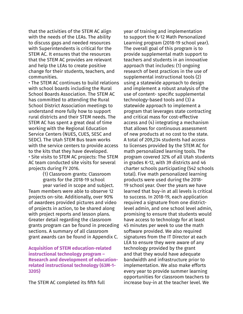that the activities of the STEM AC align with the needs of the LEAs. The ability to discuss gaps and needed resources with Superintendents is critical for the STEM AC. It ensures that the resources that the STEM AC provides are relevant and help the LEAs to create positive change for their students, teachers, and communities.

• The STEM AC continues to build relations with school boards including the Rural School Boards Association. The STEM AC has committed to attending the Rural School District Association meetings to understand more fully how to support rural districts and their STEM needs. The STEM AC has spent a great deal of time working with the Regional Education Service Centers (NUES, CUES, SESC and SEDC). The Utah STEM Bus team works with the service centers to provide access to the kits that they have developed. • Site visits to STEM AC projects: The STEM AC team conducted site visits for several projects during FY 2016.

(1) Classroom grants: Classroom grants for the 2018-19 school year varied in scope and subject. Team members were able to observe 12 projects on-site. Additionally, over 90% of awardees provided pictures and video of projects in action, to be shared along with project reports and lesson plans. Greater detail regarding the classroom grants program can be found in preceding sections. A summary of all classroom grant awards can be found in Appendix C.

**Acquisition of STEM education-related instructional technology program – Research and development of educationrelated instructional technology (63M-1- 3205)**

The STEM AC completed its fifth full

year of training and implementation to support the K-12 Math Personalized Learning program (2018-19 school year). The overall goal of this program is to provide supplemental math support to teachers and students in an innovative approach that includes: (1) ongoing research of best practices in the use of supplemental instructional tools (2) using a statewide approach to design and implement a robust analysis of the use of content- specific supplemental technology-based tools and (3) a statewide approach to implement a program that leverages state contracting and critical mass for cost-effective access and (4) integrating a mechanism that allows for continuous assessment of new products at no cost to the state. A total of 209,234 students had access to licenses provided by the STEM AC for math personalized learning tools. The program covered 32% of all Utah students in grades K-12, with 39 districts and 46 charter schools participating (542 schools total). Five math personalized learning products were used during the 2018- 19 school year. Over the years we have learned that buy-in at all levels is critical to success. In 2018-19, each application required a signature from one districtlevel admin, and one school level admin, promising to ensure that students would have access to technology for at least 45 minutes per week to use the math software provided. We also required signatures from the IT Director at each LEA to ensure they were aware of any technology provided by the grant and that they would have adequate bandwidth and infrastructure prior to implementation. We also make efforts every year to provide summer learning opportunities for classroom teachers to increase buy-in at the teacher level. We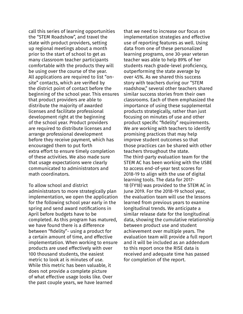call this series of learning opportunities the "STEM Roadshow", and travel the state with product providers, setting up regional meetings about a month prior to the start of school to get as many classroom teacher participants comfortable with the products they will be using over the course of the year. All applications are required to list "onsite" contacts, which are verified by the district point of contact before the beginning of the school year. This ensures that product providers are able to distribute the majority of awarded licenses and facilitate professional development right at the beginning of the school year. Product providers are required to distribute licenses and arrange professional development before they receive payment, which has encouraged them to put forth extra effort to ensure timely completion of these activities. We also made sure that usage expectations were clearly communicated to administrators and math coordinators.

To allow school and district administrators to more strategically plan implementation, we open the application for the following school year early in the spring and send award notifications in April before budgets have to be completed. As this program has matured, we have found there is a difference between "fidelity"- using a product for a certain amount of time, and effective implementation. When working to ensure products are used effectively with over 100 thousand students, the easiest metric to look at is minutes of use. While this metric has been valuable, it does not provide a complete picture of what effective usage looks like. Over the past couple years, we have learned

that we need to increase our focus on implementation strategies and effective use of reporting features as well. Using data from one of these personalized learning programs, one 30-year veteran teacher was able to help 89% of her students reach grade-level proficiency, outperforming the state average by over 45%. As we shared this success story with teachers during our "STEM roadshow," several other teachers shared similar success stories from their own classrooms. Each of them emphasized the importance of using these supplemental products strategically, rather than just focusing on minutes of use and other product specific "fidelity" requirements. We are working with teachers to identify promising practices that may help improve student outcomes so that those practices can be shared with other teachers throughout the state. The third-party evaluation team for the STEM AC has been working with the USBE to access end-of-year test scores for 2018-19 to align with the use of digital learning tools. The data for 2017- 18 (FY18) was provided to the STEM AC in June 2019. For the 2018-19 school year, the evaluation team will use the lessons learned from previous years to examine longitudinal trends. We anticipate a similar release date for the longitudinal data, showing the cumulative relationship between product use and student achievement over multiple years. The evaluation team will provide a full report and it will be included as an addendum to this report once the RISE data is received and adequate time has passed for completion of the report.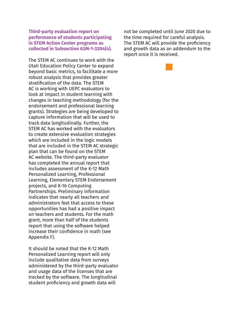#### **Third-party evaluation report on performance of students participating in STEM Action Center programs as collected in Subsection 63M-1-3204(4).**

The STEM AC continues to work with the Utah Education Policy Center to expand beyond basic metrics, to facilitate a more robust analysis that provides greater stratification of the data. The STEM AC is working with UEPC evaluators to look at impact in student learning with changes in teaching methodology (for the endorsement and professional learning grants). Strategies are being developed to capture information that will be used to track data longitudinally. Further, the STEM AC has worked with the evaluators to create extensive evaluation strategies which are included in the logic models that are included in the STEM AC strategic plan that can be found on the STEM AC website. The third-party evaluator has completed the annual report that includes assessment of the K-12 Math Personalized Learning, Professional Learning, Elementary STEM Endorsement projects, and K-16 Computing Partnerships. Preliminary information indicates that nearly all teachers and administrators feel that access to these opportunities has had a positive impact on teachers and students. For the math grant, more than half of the students report that using the software helped increase their confidence in math (see Appendix F).

It should be noted that the K-12 Math Personalized Learning report will only include qualitative data from surveys administered by the third-party evaluator and usage data of the licenses that are tracked by the software. The longitudinal student proficiency and growth data will

not be completed until June 2020 due to the time required for careful analysis. The STEM AC will provide the proficiency and growth data as an addendum to the report once it is received.